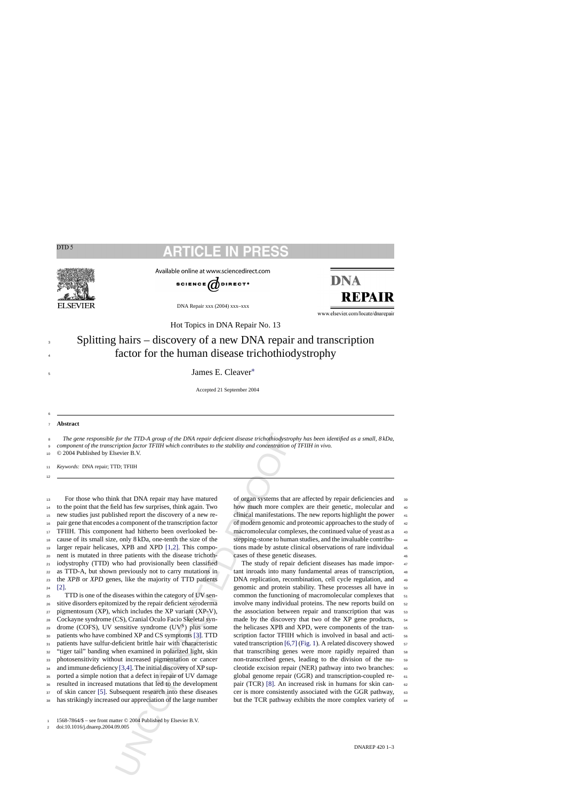# CLE



Available online at www.sciencedirect.com



DNA Repair xxx (2004) xxx–xxx

**DNA REPAIR** 

www.elsevier.com/locate/dnarepair

Hot Topics in DNA Repair No. 13

## Splitting hairs – discovery of a new DNA repair and transcription factor for the human disease trichothiodystrophy

James E. Cleaver[∗](#page-2-0) <sup>5</sup>

Accepted 21 September 2004

<sup>7</sup> **Abstract**

3 4

6

12

*The gene responsible for the TTD-A group of the DNA repair deficient disease trichothiodystrophy has been identified as a small, 8 kDa, component of the transcription factor TFIIH which contributes to the stability and concentration of TFIIH in vivo.* 8 9

<sup>10</sup> © 2004 Published by Elsevier B.V.

<sup>11</sup> *Keywords:* DNA repair; TTD; TFIIH

 For those who think that DNA repair may have matured to the point that the field has few surprises, think again. Two new studies just published report the discovery of a new re- pair gene that encodes a component of the transcription factor TFIIH. This component had hitherto been overlooked be- cause of its small size, only 8 kDa, one-tenth the size of the larger repair helicases, XPB and XPD [1,2]. This compo- nent is mutated in three patients with the disease trichoth- iodystrophy (TTD) who had provisionally been classified as TTD-A, but shown previously not to carry mutations in the *XPB* or *XPD* genes, like the majority of TTD patients  $24$  [\[2\].](#page-2-0)

for the TTD-A group of the DNA repair deficient disease trichothiodystre<br>ripins factor TFIIH which contributes to the stability and concentration<br>ripins factor TFIIH which contributes to the stability and concentration<br>sev TTD is one of the diseases within the category of UV sen- sitive disorders epitomized by the repair deficient xeroderma pigmentosum (XP), which includes the XP variant (XP-V), Cockayne syndrome (CS), Cranial Oculo Facio Skeletal syn-29 drome (COFS), UV sensitive syndrome  $(UV^S)$  plus some patients who have combined XP and CS symptoms [3]. TTD patients have sulfur-deficient brittle hair with characteristic "tiger tail" banding when examined in polarized light, skin photosensitivity without increased pigmentation or cancer 34 and immune deficiency [3,4]. The initial discovery of XP sup- ported a simple notion that a defect in repair of UV damage resulted in increased mutations that led to the development of skin cancer [\[5\].](#page-2-0) Subsequent research into these diseases has strikingly increased our appreciation of the large number

of organ systems that are affected by repair deficiencies and <sup>39</sup> how much more complex are their genetic, molecular and  $40$ clinical manifestations. The new reports highlight the power 41 of modern genomic and proteomic approaches to the study of 42 macromolecular complexes, the continued value of yeast as a 43 stepping-stone to human studies, and the invaluable contribu- <sup>44</sup> tions made by astute clinical observations of rare individual 45 cases of these genetic diseases. <sup>46</sup>

The study of repair deficient diseases has made important inroads into many fundamental areas of transcription, 48 DNA replication, recombination, cell cycle regulation, and 49 genomic and protein stability. These processes all have in  $50$ common the functioning of macromolecular complexes that  $51$ involve many individual proteins. The new reports build on  $52$ the association between repair and transcription that was 53 made by the discovery that two of the XP gene products,  $54$ the helicases XPB and XPD, were components of the tran- <sup>55</sup> scription factor TFIIH which is involved in basal and acti-vated transcription [\[6,7\]](#page-2-0) ([Fig. 1\).](#page-1-0) A related discovery showed  $\frac{57}{2}$ that transcribing genes were more rapidly repaired than 58 non-transcribed genes, leading to the division of the nu- <sup>59</sup> cleotide excision repair (NER) pathway into two branches: 60 global genome repair (GGR) and transcription-coupled repair (TCR) [8]. An increased risk in humans for skin can- 62 cer is more consistently associated with the GGR pathway, 63 but the TCR pathway exhibits the more complex variety of  $64$ 

<sup>1</sup> 1568-7864/\$ – see front matter © 2004 Published by Elsevier B.V.

<sup>2</sup> doi:10.1016/j.dnarep.2004.09.005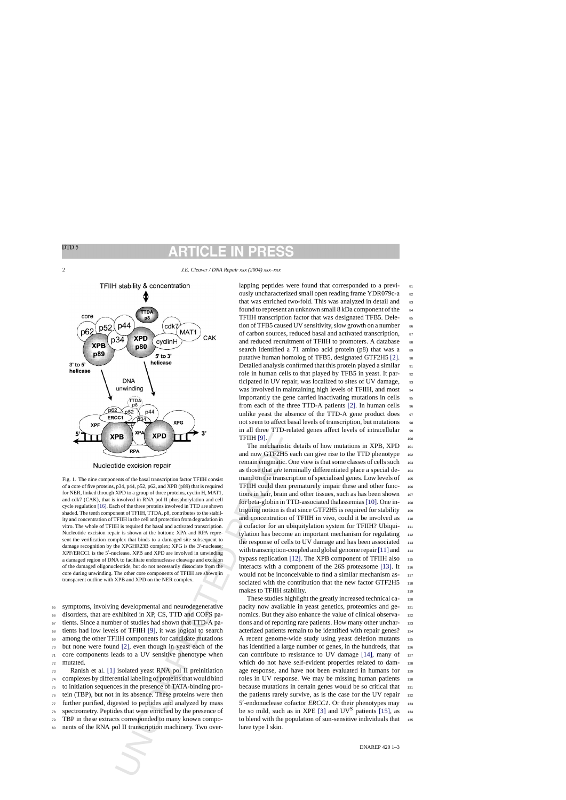<span id="page-1-0"></span>2 *J.E. Cleaver / DNA Repair xxx (2004) xxx–xxx*



**EVALUATION** THE CONSIDERATION THE CONSIDERATION THE MANU[F](#page-2-0)IC THE INTERNATION CONDUCT THE CONSIDENCING THE CONSIDERATION AND THE CONSIDERATION (XPIP), and A SUPPORT CONSIDERATION (XPIP), and A SUPPORT CONSIDERATION (XPIP), Fig. 1. The nine components of the basal transcription factor TFIIH consist of a core of five proteins, p34, p44, p52, p62, and XPB (p89) that is required for NER, linked through XPD to a group of three proteins, cyclin H, MAT1, and cdk7 (CAK), that is involved in RNA pol II phosphorylation and cell cycle regulation [\[16\]. E](#page-2-0)ach of the three proteins involved in TTD are shown shaded. The tenth component of TFIIH, TTDA, p8, contributes to the stability and concentration of TFIIH in the cell and protection from degradation in vitro. The whole of TFIIH is required for basal and activated transcription. Nucleotide excision repair is shown at the bottom: XPA and RPA represent the verification complex that binds to a damaged site subsequent to damage recognition by the XPGHR23B complex; XPG is the 3'-nuclease; XPF/ERCC1 is the 5'-nuclease. XPB and XPD are involved in unwinding a damaged region of DNA to facilitate endonuclease cleavage and excision of the damaged oligonucleotide, but do not necessarily dissociate from the core during unwinding. The other core components of TFIIH are shown in transparent outline with XPB and XPD on the NER complex.

 symptoms, involving developmental and neurodegenerative disorders, that are exhibited in XP, CS, TTD and COFS pa- tients. Since a number of studies had shown that TTD-A pa- tients had low levels of TFIIH [9], it was logical to search among the other TFIIH components for candidate mutations but none were found [2], even though in yeast each of the core components leads to a UV sensitive phenotype when <sup>72</sup> mutated.

 Ranish et al. [\[1\]](#page-2-0) isolated yeast RNA pol II preinitiation complexes by differential labeling of proteins that would bind to initiation sequences in the presence of TATA-binding pro- tein (TBP), but not in its absence. These proteins were then further purified, digested to peptides and analyzed by mass spectrometry. Peptides that were enriched by the presence of TBP in these extracts corresponded to many known compo-80 nents of the RNA pol II transcription machinery. Two overlapping peptides were found that corresponded to a previously uncharacterized small open reading frame YDR079c-a 82 that was enriched two-fold. This was analyzed in detail and 83 found to represent an unknown small  $8 \text{ kDa component of the}$ <sup>84</sup> TFIIH transcription factor that was designated TFB5. Deletion of TFB5 caused UV sensitivity, slow growth on a number  $86$ of carbon sources, reduced basal and activated transcription, <sup>87</sup> and reduced recruitment of TFIIH to promoters. A database 88 search identified a 71 amino acid protein  $(p8)$  that was a  $89$ putative human homolog of TFB5, designated GTF2H5 [\[2\].](#page-2-0) 90 Detailed analysis confirmed that this protein played a similar 91 role in human cells to that played by TFB5 in yeast. It par-<br>92 ticipated in UV repair, was localized to sites of UV damage, 93 was involved in maintaining high levels of TFIIH, and most 94 importantly the gene carried inactivating mutations in cells 95 from each of the three TTD-A patients [\[2\].](#page-2-0) In human cells 96 unlike yeast the absence of the TTD-A gene product does  $\frac{97}{2}$ not seem to affect basal levels of transcription, but mutations 98 in all three TTD-related genes affect levels of intracellular 99 **TFIIH [9].**  $\qquad \qquad \qquad$  100

The mechanistic details of how mutations in XPB, XPD 101 and now GTF2H5 each can give rise to the TTD phenotype 102 remain enigmatic. One view is that some classes of cells such 103 as those that are terminally differentiated place a special de- <sup>104</sup> mand on the transcription of specialised genes. Low levels of 105 TFIIH could then prematurely impair these and other func- <sup>106</sup> tions in hair, brain and other tissues, such as has been shown 107 for beta-globin in TTD-associated thalassemias [\[10\]. O](#page-2-0)ne in- <sup>108</sup> triguing notion is that since GTF2H5 is required for stability  $_{109}$ and concentration of TFIIH in vivo, could it be involved as 110 a cofactor for an ubiquitylation system for TFIIH? Ubiquitylation has become an important mechanism for regulating 112 the response of cells to UV damage and has been associated 113 with transcription-coupled and global genome repair  $[11]$  and  $114$ bypass replication [\[12\].](#page-2-0) The XPB component of TFIIH also  $_{115}$ interacts with a component of the  $26S$  proteasome [\[13\].](#page-2-0) It  $_{116}$ would not be inconceivable to find a similar mechanism associated with the contribution that the new factor  $GTF2H5_{118}$ makes to TFIIH stability.

These studies highlight the greatly increased technical capacity now available in yeast genetics, proteomics and ge- <sup>121</sup> nomics. But they also enhance the value of clinical observa-<br>122 tions and of reporting rare patients. How many other unchar-<br>123 acterized patients remain to be identified with repair genes? 124 A recent genome-wide study using yeast deletion mutants 125 has identified a large number of genes, in the hundreds, that 126 can contribute to resistance to UV damage  $[14]$ , many of  $127$ which do not have self-evident properties related to damage response, and have not been evaluated in humans for 129 roles in UV response. We may be missing human patients 130 because mutations in certain genes would be so critical that 131 the patients rarely survive, as is the case for the UV repair 132 5'-endonuclease cofactor *ERCC1*. Or their phenotypes may 133 be so mild, such as in XPE [\[3\]](#page-2-0) and  $UV^S$  patients [\[15\],](#page-2-0) as  $134$ to blend with the population of sun-sensitive individuals that 135 have type I skin.